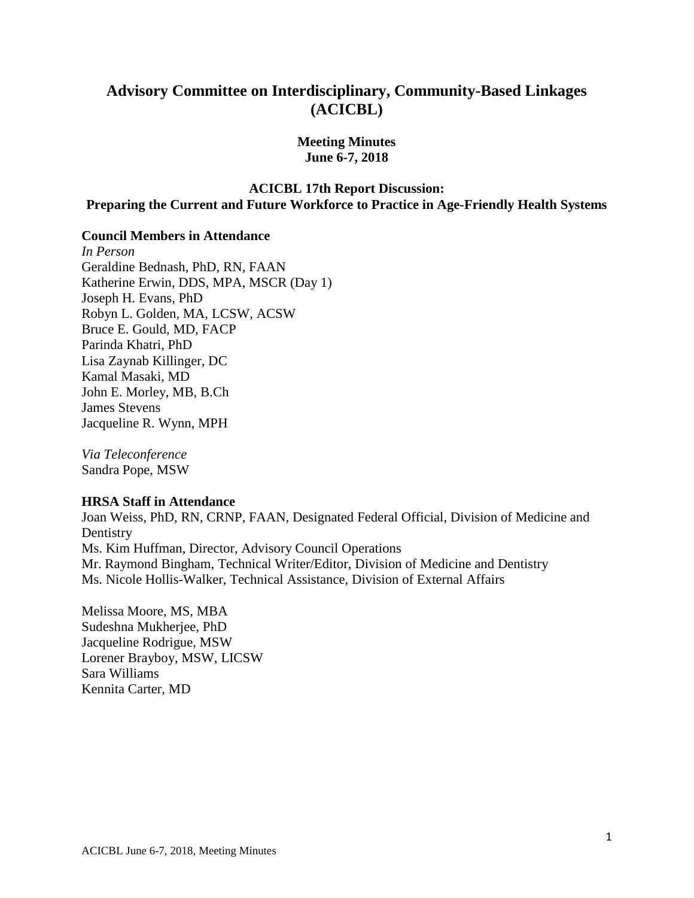# **Advisory Committee on Interdisciplinary, Community-Based Linkages (ACICBL)**

**Meeting Minutes June 6-7, 2018** 

## **ACICBL 17th Report Discussion: Preparing the Current and Future Workforce to Practice in Age-Friendly Health Systems**

#### **Council Members in Attendance**

 Katherine Erwin, DDS, MPA, MSCR (Day 1) Joseph H. Evans, PhD *In Person*  Geraldine Bednash, PhD, RN, FAAN Robyn L. Golden, MA, LCSW, ACSW Bruce E. Gould, MD, FACP Parinda Khatri, PhD Lisa Zaynab Killinger, DC Kamal Masaki, MD John E. Morley, MB, B.Ch James Stevens Jacqueline R. Wynn, MPH

*Via Teleconference*  Sandra Pope, MSW

#### **HRSA Staff in Attendance**

Joan Weiss, PhD, RN, CRNP, FAAN, Designated Federal Official, Division of Medicine and **Dentistry** Ms. Kim Huffman, Director, Advisory Council Operations Mr. Raymond Bingham, Technical Writer/Editor, Division of Medicine and Dentistry Ms. Nicole Hollis-Walker, Technical Assistance, Division of External Affairs

Melissa Moore, MS, MBA Sudeshna Mukherjee, PhD Jacqueline Rodrigue, MSW Lorener Brayboy, MSW, LICSW Sara Williams Kennita Carter, MD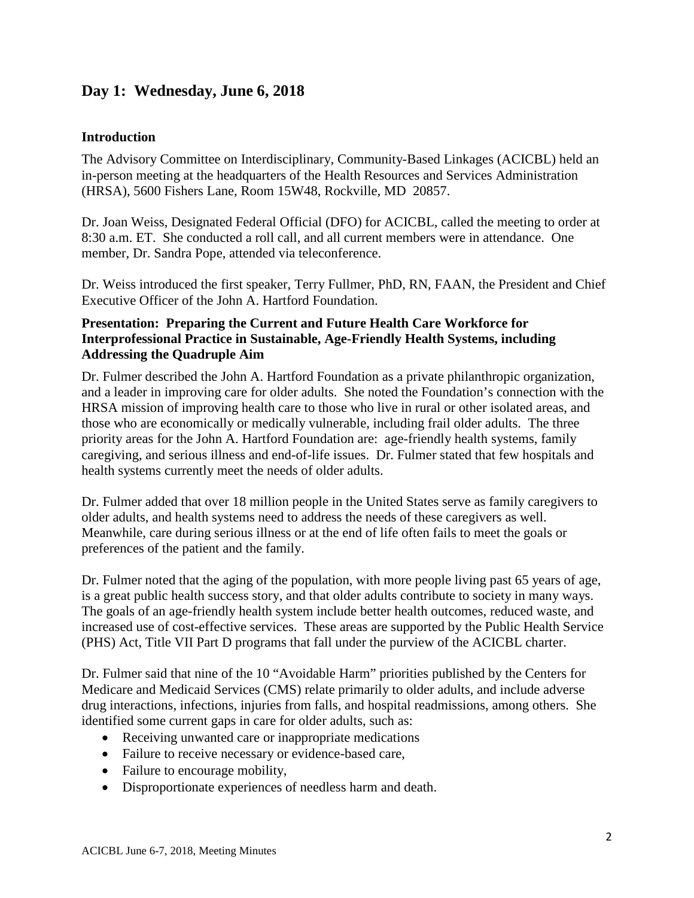# **Day 1: Wednesday, June 6, 2018**

#### **Introduction**

 The Advisory Committee on Interdisciplinary, Community-Based Linkages (ACICBL) held an (HRSA), 5600 Fishers Lane, Room 15W48, Rockville, MD 20857. in-person meeting at the headquarters of the Health Resources and Services Administration

 Dr. Joan Weiss, Designated Federal Official (DFO) for ACICBL, called the meeting to order at 8:30 a.m. ET. She conducted a roll call, and all current members were in attendance. One member, Dr. Sandra Pope, attended via teleconference.

Dr. Weiss introduced the first speaker, Terry Fullmer, PhD, RN, FAAN, the President and Chief Executive Officer of the John A. Hartford Foundation.

## **Presentation: Preparing the Current and Future Health Care Workforce for Interprofessional Practice in Sustainable, Age-Friendly Health Systems, including Addressing the Quadruple Aim**

 priority areas for the John A. Hartford Foundation are: age-friendly health systems, family caregiving, and serious illness and end-of-life issues. Dr. Fulmer stated that few hospitals and Dr. Fulmer described the John A. Hartford Foundation as a private philanthropic organization, and a leader in improving care for older adults. She noted the Foundation's connection with the HRSA mission of improving health care to those who live in rural or other isolated areas, and those who are economically or medically vulnerable, including frail older adults. The three health systems currently meet the needs of older adults.

older adults, and health systems need to address the needs of these caregivers as well. Dr. Fulmer added that over 18 million people in the United States serve as family caregivers to Meanwhile, care during serious illness or at the end of life often fails to meet the goals or preferences of the patient and the family.

Dr. Fulmer noted that the aging of the population, with more people living past 65 years of age, is a great public health success story, and that older adults contribute to society in many ways. The goals of an age-friendly health system include better health outcomes, reduced waste, and increased use of cost-effective services. These areas are supported by the Public Health Service (PHS) Act, Title VII Part D programs that fall under the purview of the ACICBL charter.

Dr. Fulmer said that nine of the 10 "Avoidable Harm" priorities published by the Centers for Medicare and Medicaid Services (CMS) relate primarily to older adults, and include adverse drug interactions, infections, injuries from falls, and hospital readmissions, among others. She identified some current gaps in care for older adults, such as:

- Receiving unwanted care or inappropriate medications
- Failure to receive necessary or evidence-based care,
- Failure to encourage mobility,
- Disproportionate experiences of needless harm and death.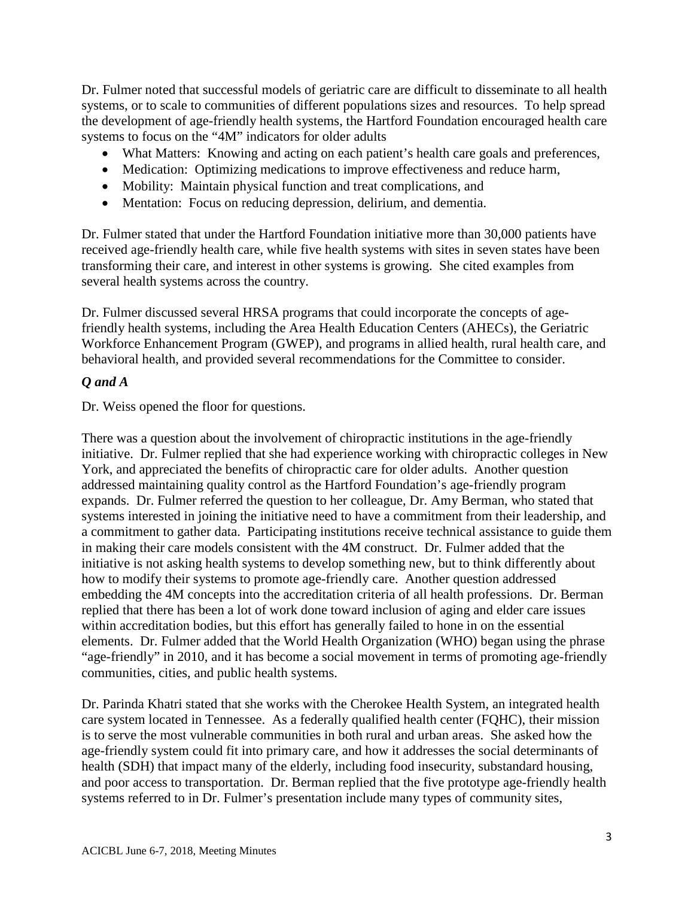systems to focus on the "4M" indicators for older adults Dr. Fulmer noted that successful models of geriatric care are difficult to disseminate to all health systems, or to scale to communities of different populations sizes and resources. To help spread the development of age-friendly health systems, the Hartford Foundation encouraged health care

- What Matters: Knowing and acting on each patient's health care goals and preferences,
- Medication: Optimizing medications to improve effectiveness and reduce harm,
- Mobility: Maintain physical function and treat complications, and
- Mentation: Focus on reducing depression, delirium, and dementia.

Dr. Fulmer stated that under the Hartford Foundation initiative more than 30,000 patients have received age-friendly health care, while five health systems with sites in seven states have been transforming their care, and interest in other systems is growing. She cited examples from several health systems across the country.

Dr. Fulmer discussed several HRSA programs that could incorporate the concepts of agefriendly health systems, including the Area Health Education Centers (AHECs), the Geriatric Workforce Enhancement Program (GWEP), and programs in allied health, rural health care, and behavioral health, and provided several recommendations for the Committee to consider.

#### *Q and A*

Dr. Weiss opened the floor for questions.

 systems interested in joining the initiative need to have a commitment from their leadership, and There was a question about the involvement of chiropractic institutions in the age-friendly initiative. Dr. Fulmer replied that she had experience working with chiropractic colleges in New York, and appreciated the benefits of chiropractic care for older adults. Another question addressed maintaining quality control as the Hartford Foundation's age-friendly program expands. Dr. Fulmer referred the question to her colleague, Dr. Amy Berman, who stated that a commitment to gather data. Participating institutions receive technical assistance to guide them in making their care models consistent with the 4M construct. Dr. Fulmer added that the initiative is not asking health systems to develop something new, but to think differently about how to modify their systems to promote age-friendly care. Another question addressed embedding the 4M concepts into the accreditation criteria of all health professions. Dr. Berman replied that there has been a lot of work done toward inclusion of aging and elder care issues within accreditation bodies, but this effort has generally failed to hone in on the essential elements. Dr. Fulmer added that the World Health Organization (WHO) began using the phrase "age-friendly" in 2010, and it has become a social movement in terms of promoting age-friendly communities, cities, and public health systems.

Dr. Parinda Khatri stated that she works with the Cherokee Health System, an integrated health care system located in Tennessee. As a federally qualified health center (FQHC), their mission is to serve the most vulnerable communities in both rural and urban areas. She asked how the age-friendly system could fit into primary care, and how it addresses the social determinants of health (SDH) that impact many of the elderly, including food insecurity, substandard housing, and poor access to transportation. Dr. Berman replied that the five prototype age-friendly health systems referred to in Dr. Fulmer's presentation include many types of community sites,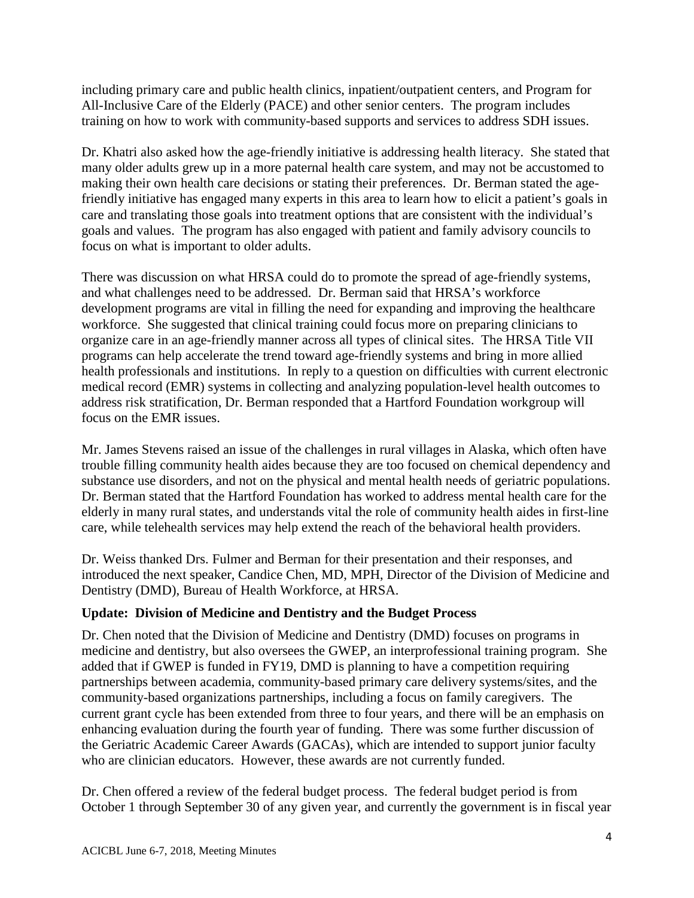All-Inclusive Care of the Elderly (PACE) and other senior centers. The program includes training on how to work with community-based supports and services to address SDH issues. including primary care and public health clinics, inpatient/outpatient centers, and Program for

 making their own health care decisions or stating their preferences. Dr. Berman stated the age- friendly initiative has engaged many experts in this area to learn how to elicit a patient's goals in Dr. Khatri also asked how the age-friendly initiative is addressing health literacy. She stated that many older adults grew up in a more paternal health care system, and may not be accustomed to care and translating those goals into treatment options that are consistent with the individual's goals and values. The program has also engaged with patient and family advisory councils to focus on what is important to older adults.

There was discussion on what HRSA could do to promote the spread of age-friendly systems, and what challenges need to be addressed. Dr. Berman said that HRSA's workforce development programs are vital in filling the need for expanding and improving the healthcare workforce. She suggested that clinical training could focus more on preparing clinicians to organize care in an age-friendly manner across all types of clinical sites. The HRSA Title VII programs can help accelerate the trend toward age-friendly systems and bring in more allied health professionals and institutions. In reply to a question on difficulties with current electronic medical record (EMR) systems in collecting and analyzing population-level health outcomes to address risk stratification, Dr. Berman responded that a Hartford Foundation workgroup will focus on the EMR issues.

Mr. James Stevens raised an issue of the challenges in rural villages in Alaska, which often have trouble filling community health aides because they are too focused on chemical dependency and substance use disorders, and not on the physical and mental health needs of geriatric populations. Dr. Berman stated that the Hartford Foundation has worked to address mental health care for the elderly in many rural states, and understands vital the role of community health aides in first-line care, while telehealth services may help extend the reach of the behavioral health providers.

 introduced the next speaker, Candice Chen, MD, MPH, Director of the Division of Medicine and Dr. Weiss thanked Drs. Fulmer and Berman for their presentation and their responses, and Dentistry (DMD), Bureau of Health Workforce, at HRSA.

## **Update: Division of Medicine and Dentistry and the Budget Process**

 Dr. Chen noted that the Division of Medicine and Dentistry (DMD) focuses on programs in partnerships between academia, community-based primary care delivery systems/sites, and the medicine and dentistry, but also oversees the GWEP, an interprofessional training program. She added that if GWEP is funded in FY19, DMD is planning to have a competition requiring community-based organizations partnerships, including a focus on family caregivers. The current grant cycle has been extended from three to four years, and there will be an emphasis on enhancing evaluation during the fourth year of funding. There was some further discussion of the Geriatric Academic Career Awards (GACAs), which are intended to support junior faculty who are clinician educators. However, these awards are not currently funded.

 October 1 through September 30 of any given year, and currently the government is in fiscal year Dr. Chen offered a review of the federal budget process. The federal budget period is from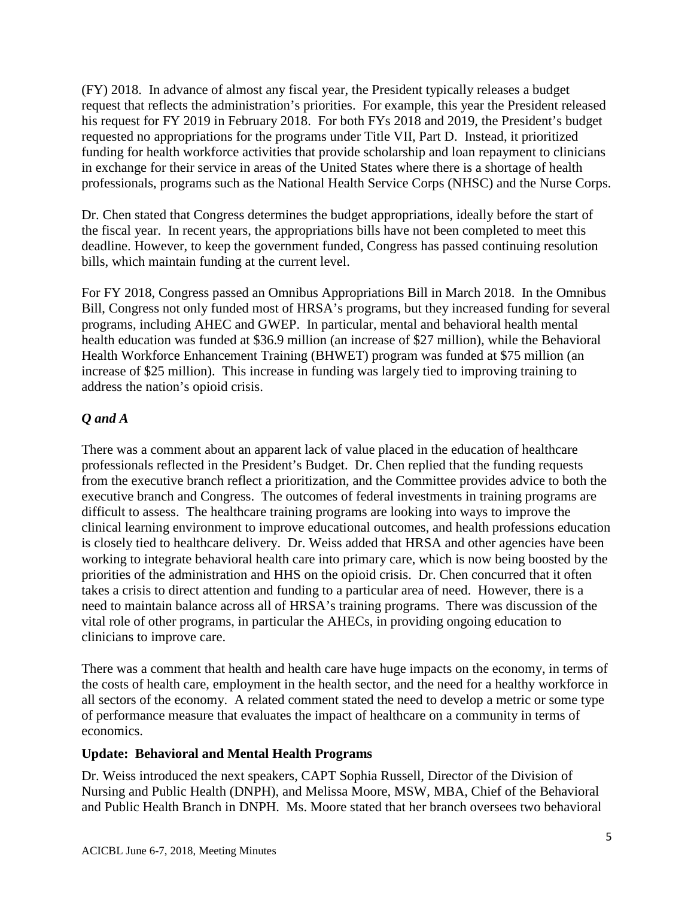(FY) 2018. In advance of almost any fiscal year, the President typically releases a budget his request for FY 2019 in February 2018. For both FYs 2018 and 2019, the President's budget request that reflects the administration's priorities. For example, this year the President released requested no appropriations for the programs under Title VII, Part D. Instead, it prioritized funding for health workforce activities that provide scholarship and loan repayment to clinicians in exchange for their service in areas of the United States where there is a shortage of health professionals, programs such as the National Health Service Corps (NHSC) and the Nurse Corps.

 the fiscal year. In recent years, the appropriations bills have not been completed to meet this deadline. However, to keep the government funded, Congress has passed continuing resolution Dr. Chen stated that Congress determines the budget appropriations, ideally before the start of bills, which maintain funding at the current level.

For FY 2018, Congress passed an Omnibus Appropriations Bill in March 2018. In the Omnibus Bill, Congress not only funded most of HRSA's programs, but they increased funding for several programs, including AHEC and GWEP. In particular, mental and behavioral health mental health education was funded at \$36.9 million (an increase of \$27 million), while the Behavioral Health Workforce Enhancement Training (BHWET) program was funded at \$75 million (an increase of \$25 million). This increase in funding was largely tied to improving training to address the nation's opioid crisis.

# *Q and A*

There was a comment about an apparent lack of value placed in the education of healthcare professionals reflected in the President's Budget. Dr. Chen replied that the funding requests from the executive branch reflect a prioritization, and the Committee provides advice to both the executive branch and Congress. The outcomes of federal investments in training programs are difficult to assess. The healthcare training programs are looking into ways to improve the clinical learning environment to improve educational outcomes, and health professions education is closely tied to healthcare delivery. Dr. Weiss added that HRSA and other agencies have been working to integrate behavioral health care into primary care, which is now being boosted by the priorities of the administration and HHS on the opioid crisis. Dr. Chen concurred that it often takes a crisis to direct attention and funding to a particular area of need. However, there is a need to maintain balance across all of HRSA's training programs. There was discussion of the vital role of other programs, in particular the AHECs, in providing ongoing education to clinicians to improve care.

 all sectors of the economy. A related comment stated the need to develop a metric or some type There was a comment that health and health care have huge impacts on the economy, in terms of the costs of health care, employment in the health sector, and the need for a healthy workforce in of performance measure that evaluates the impact of healthcare on a community in terms of economics.

## **Update: Behavioral and Mental Health Programs**

 and Public Health Branch in DNPH. Ms. Moore stated that her branch oversees two behavioral Dr. Weiss introduced the next speakers, CAPT Sophia Russell, Director of the Division of Nursing and Public Health (DNPH), and Melissa Moore, MSW, MBA, Chief of the Behavioral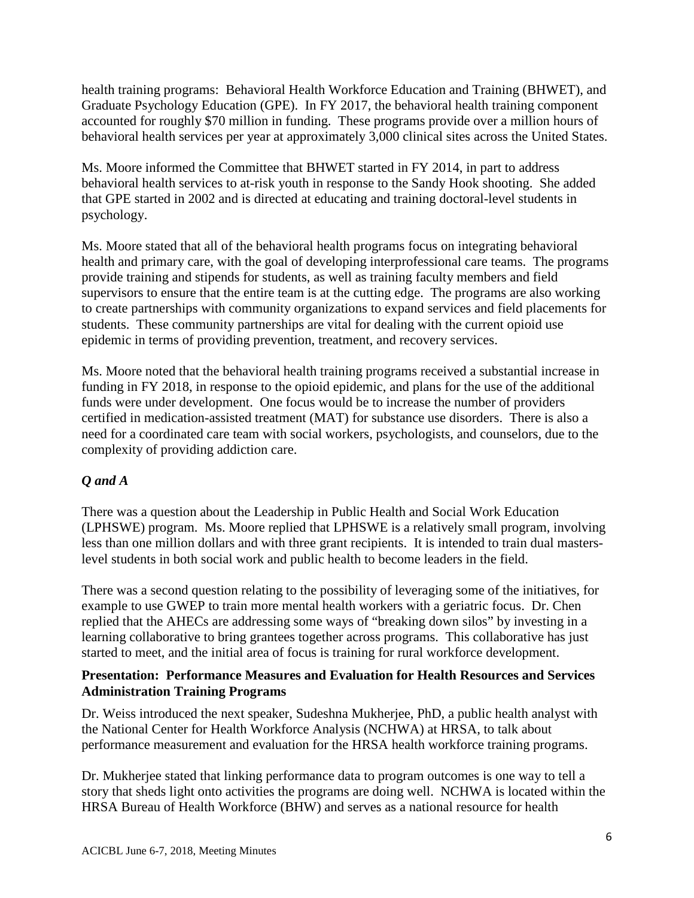behavioral health services per year at approximately 3,000 clinical sites across the United States. health training programs: Behavioral Health Workforce Education and Training (BHWET), and Graduate Psychology Education (GPE). In FY 2017, the behavioral health training component accounted for roughly \$70 million in funding. These programs provide over a million hours of

 behavioral health services to at-risk youth in response to the Sandy Hook shooting. She added Ms. Moore informed the Committee that BHWET started in FY 2014, in part to address that GPE started in 2002 and is directed at educating and training doctoral-level students in psychology.

 students. These community partnerships are vital for dealing with the current opioid use Ms. Moore stated that all of the behavioral health programs focus on integrating behavioral health and primary care, with the goal of developing interprofessional care teams. The programs provide training and stipends for students, as well as training faculty members and field supervisors to ensure that the entire team is at the cutting edge. The programs are also working to create partnerships with community organizations to expand services and field placements for epidemic in terms of providing prevention, treatment, and recovery services.

 Ms. Moore noted that the behavioral health training programs received a substantial increase in funding in FY 2018, in response to the opioid epidemic, and plans for the use of the additional funds were under development. One focus would be to increase the number of providers certified in medication-assisted treatment (MAT) for substance use disorders. There is also a need for a coordinated care team with social workers, psychologists, and counselors, due to the complexity of providing addiction care.

# *Q and A*

 less than one million dollars and with three grant recipients. It is intended to train dual masters-There was a question about the Leadership in Public Health and Social Work Education (LPHSWE) program. Ms. Moore replied that LPHSWE is a relatively small program, involving level students in both social work and public health to become leaders in the field.

 example to use GWEP to train more mental health workers with a geriatric focus. Dr. Chen There was a second question relating to the possibility of leveraging some of the initiatives, for replied that the AHECs are addressing some ways of "breaking down silos" by investing in a learning collaborative to bring grantees together across programs. This collaborative has just started to meet, and the initial area of focus is training for rural workforce development.

#### **Presentation: Performance Measures and Evaluation for Health Resources and Services Administration Training Programs**

Dr. Weiss introduced the next speaker, Sudeshna Mukherjee, PhD, a public health analyst with the National Center for Health Workforce Analysis (NCHWA) at HRSA, to talk about performance measurement and evaluation for the HRSA health workforce training programs.

Dr. Mukherjee stated that linking performance data to program outcomes is one way to tell a story that sheds light onto activities the programs are doing well. NCHWA is located within the HRSA Bureau of Health Workforce (BHW) and serves as a national resource for health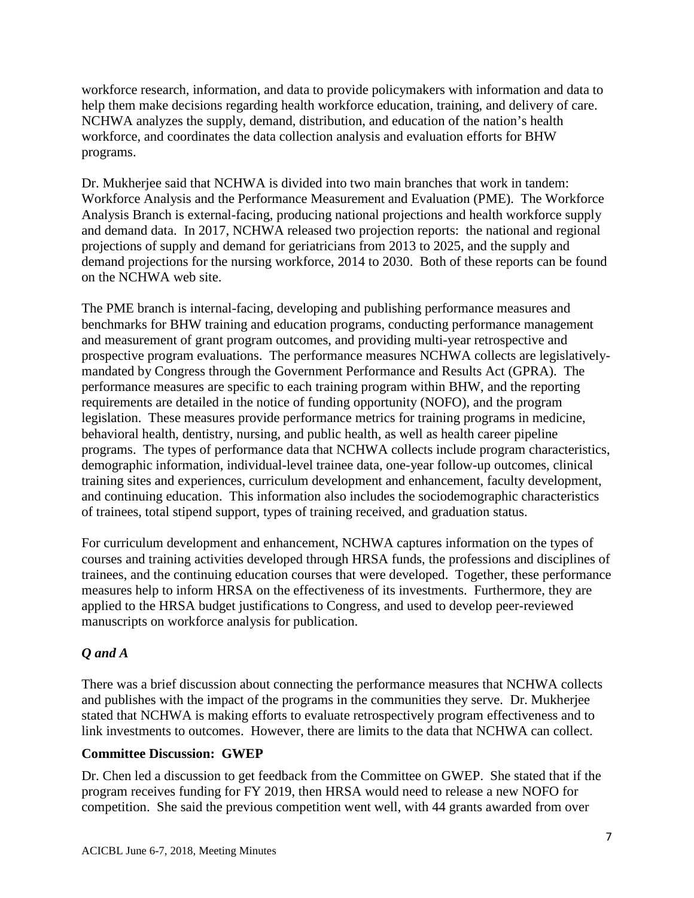workforce research, information, and data to provide policymakers with information and data to help them make decisions regarding health workforce education, training, and delivery of care. NCHWA analyzes the supply, demand, distribution, and education of the nation's health workforce, and coordinates the data collection analysis and evaluation efforts for BHW programs.

 Dr. Mukherjee said that NCHWA is divided into two main branches that work in tandem: Workforce Analysis and the Performance Measurement and Evaluation (PME). The Workforce Analysis Branch is external-facing, producing national projections and health workforce supply and demand data. In 2017, NCHWA released two projection reports: the national and regional projections of supply and demand for geriatricians from 2013 to 2025, and the supply and demand projections for the nursing workforce, 2014 to 2030. Both of these reports can be found on the NCHWA web site.

 benchmarks for BHW training and education programs, conducting performance management prospective program evaluations. The performance measures NCHWA collects are legislatively- and continuing education. This information also includes the sociodemographic characteristics The PME branch is internal-facing, developing and publishing performance measures and and measurement of grant program outcomes, and providing multi-year retrospective and mandated by Congress through the Government Performance and Results Act (GPRA). The performance measures are specific to each training program within BHW, and the reporting requirements are detailed in the notice of funding opportunity (NOFO), and the program legislation. These measures provide performance metrics for training programs in medicine, behavioral health, dentistry, nursing, and public health, as well as health career pipeline programs. The types of performance data that NCHWA collects include program characteristics, demographic information, individual-level trainee data, one-year follow-up outcomes, clinical training sites and experiences, curriculum development and enhancement, faculty development, of trainees, total stipend support, types of training received, and graduation status.

 trainees, and the continuing education courses that were developed. Together, these performance measures help to inform HRSA on the effectiveness of its investments. Furthermore, they are For curriculum development and enhancement, NCHWA captures information on the types of courses and training activities developed through HRSA funds, the professions and disciplines of applied to the HRSA budget justifications to Congress, and used to develop peer-reviewed manuscripts on workforce analysis for publication.

## *Q and A*

There was a brief discussion about connecting the performance measures that NCHWA collects and publishes with the impact of the programs in the communities they serve. Dr. Mukherjee stated that NCHWA is making efforts to evaluate retrospectively program effectiveness and to link investments to outcomes. However, there are limits to the data that NCHWA can collect.

## **Committee Discussion: GWEP**

Dr. Chen led a discussion to get feedback from the Committee on GWEP. She stated that if the program receives funding for FY 2019, then HRSA would need to release a new NOFO for competition. She said the previous competition went well, with 44 grants awarded from over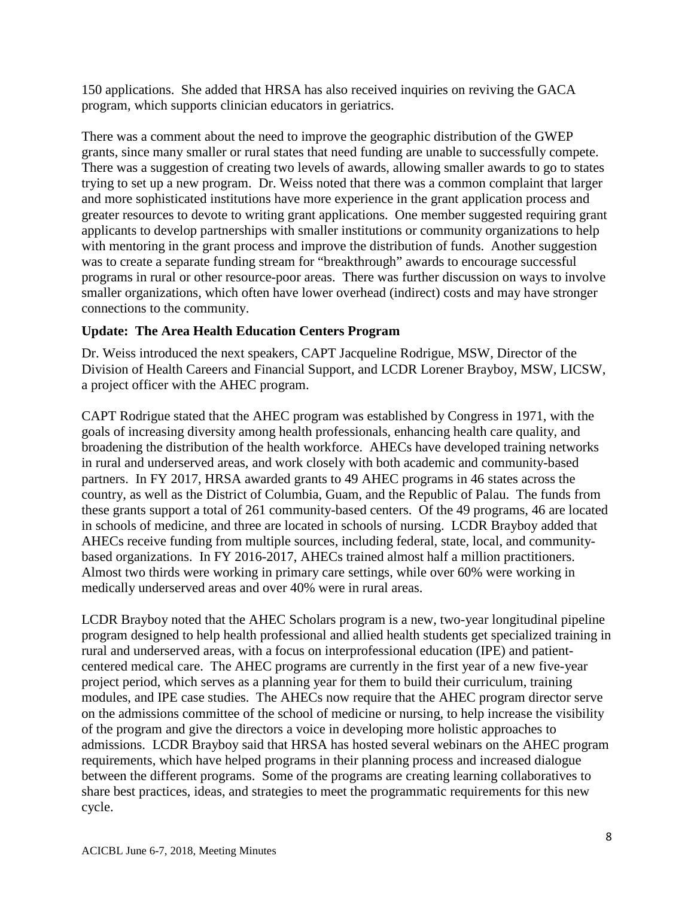150 applications. She added that HRSA has also received inquiries on reviving the GACA program, which supports clinician educators in geriatrics.

grants, since many smaller or rural states that need funding are unable to successfully compete. greater resources to devote to writing grant applications. One member suggested requiring grant programs in rural or other resource-poor areas. There was further discussion on ways to involve There was a comment about the need to improve the geographic distribution of the GWEP There was a suggestion of creating two levels of awards, allowing smaller awards to go to states trying to set up a new program. Dr. Weiss noted that there was a common complaint that larger and more sophisticated institutions have more experience in the grant application process and applicants to develop partnerships with smaller institutions or community organizations to help with mentoring in the grant process and improve the distribution of funds. Another suggestion was to create a separate funding stream for "breakthrough" awards to encourage successful smaller organizations, which often have lower overhead (indirect) costs and may have stronger connections to the community.

## **Update: The Area Health Education Centers Program**

Dr. Weiss introduced the next speakers, CAPT Jacqueline Rodrigue, MSW, Director of the Division of Health Careers and Financial Support, and LCDR Lorener Brayboy, MSW, LICSW, a project officer with the AHEC program.

 in schools of medicine, and three are located in schools of nursing. LCDR Brayboy added that based organizations. In FY 2016-2017, AHECs trained almost half a million practitioners. based organizations. In FY 2016-2017, AHECs trained almost half a million practitioners. Almost two thirds were working in primary care settings, while over 60% were working in medically underserved areas and over 40% were in rural areas. CAPT Rodrigue stated that the AHEC program was established by Congress in 1971, with the goals of increasing diversity among health professionals, enhancing health care quality, and broadening the distribution of the health workforce. AHECs have developed training networks in rural and underserved areas, and work closely with both academic and community-based partners. In FY 2017, HRSA awarded grants to 49 AHEC programs in 46 states across the country, as well as the District of Columbia, Guam, and the Republic of Palau. The funds from these grants support a total of 261 community-based centers. Of the 49 programs, 46 are located AHECs receive funding from multiple sources, including federal, state, local, and community-

medically underserved areas and over 40% were in rural areas.<br>LCDR Brayboy noted that the AHEC Scholars program is a new, two-year longitudinal pipeline centered medical care. The AHEC programs are currently in the first year of a new five-year modules, and IPE case studies. The AHECs now require that the AHEC program director serve admissions. LCDR Brayboy said that HRSA has hosted several webinars on the AHEC program program designed to help health professional and allied health students get specialized training in rural and underserved areas, with a focus on interprofessional education (IPE) and patientproject period, which serves as a planning year for them to build their curriculum, training on the admissions committee of the school of medicine or nursing, to help increase the visibility of the program and give the directors a voice in developing more holistic approaches to requirements, which have helped programs in their planning process and increased dialogue between the different programs. Some of the programs are creating learning collaboratives to share best practices, ideas, and strategies to meet the programmatic requirements for this new cycle.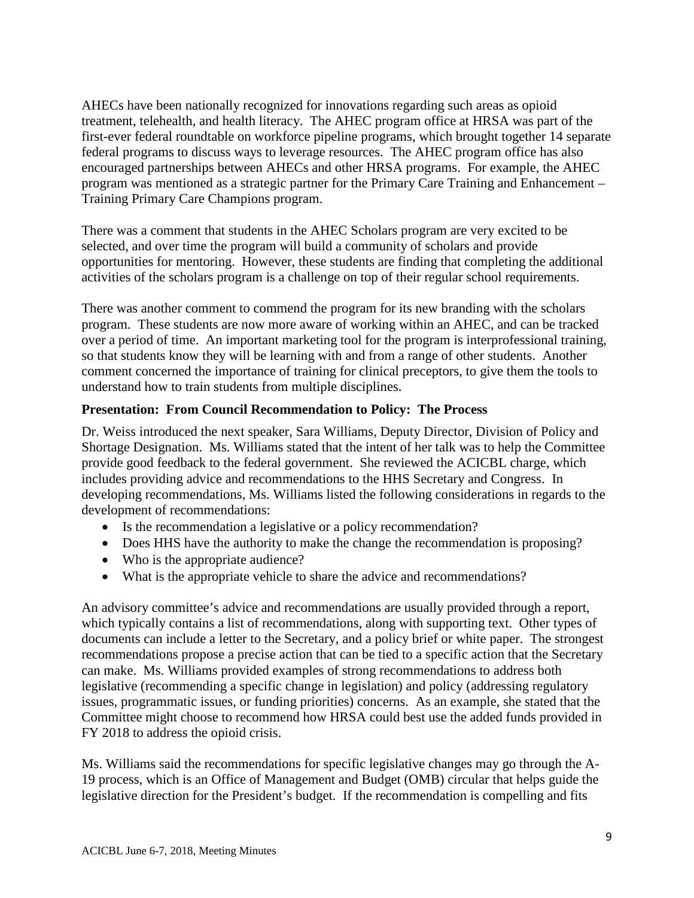federal programs to discuss ways to leverage resources. The AHEC program office has also encouraged partnerships between AHECs and other HRSA programs. For example, the AHEC AHECs have been nationally recognized for innovations regarding such areas as opioid treatment, telehealth, and health literacy. The AHEC program office at HRSA was part of the first-ever federal roundtable on workforce pipeline programs, which brought together 14 separate program was mentioned as a strategic partner for the Primary Care Training and Enhancement – Training Primary Care Champions program.

 There was a comment that students in the AHEC Scholars program are very excited to be selected, and over time the program will build a community of scholars and provide opportunities for mentoring. However, these students are finding that completing the additional activities of the scholars program is a challenge on top of their regular school requirements.

 program. These students are now more aware of working within an AHEC, and can be tracked understand how to train students from multiple disciplines. There was another comment to commend the program for its new branding with the scholars over a period of time. An important marketing tool for the program is interprofessional training, so that students know they will be learning with and from a range of other students. Another comment concerned the importance of training for clinical preceptors, to give them the tools to

## **Presentation: From Council Recommendation to Policy: The Process**

 Shortage Designation. Ms. Williams stated that the intent of her talk was to help the Committee includes providing advice and recommendations to the HHS Secretary and Congress. In Dr. Weiss introduced the next speaker, Sara Williams, Deputy Director, Division of Policy and provide good feedback to the federal government. She reviewed the ACICBL charge, which developing recommendations, Ms. Williams listed the following considerations in regards to the development of recommendations:

- Is the recommendation a legislative or a policy recommendation?
- Does HHS have the authority to make the change the recommendation is proposing?
- Who is the appropriate audience?
- What is the appropriate vehicle to share the advice and recommendations?

 which typically contains a list of recommendations, along with supporting text. Other types of documents can include a letter to the Secretary, and a policy brief or white paper. The strongest can make. Ms. Williams provided examples of strong recommendations to address both issues, programmatic issues, or funding priorities) concerns. As an example, she stated that the An advisory committee's advice and recommendations are usually provided through a report, recommendations propose a precise action that can be tied to a specific action that the Secretary legislative (recommending a specific change in legislation) and policy (addressing regulatory Committee might choose to recommend how HRSA could best use the added funds provided in FY 2018 to address the opioid crisis.

 19 process, which is an Office of Management and Budget (OMB) circular that helps guide the legislative direction for the President's budget. If the recommendation is compelling and fits Ms. Williams said the recommendations for specific legislative changes may go through the A-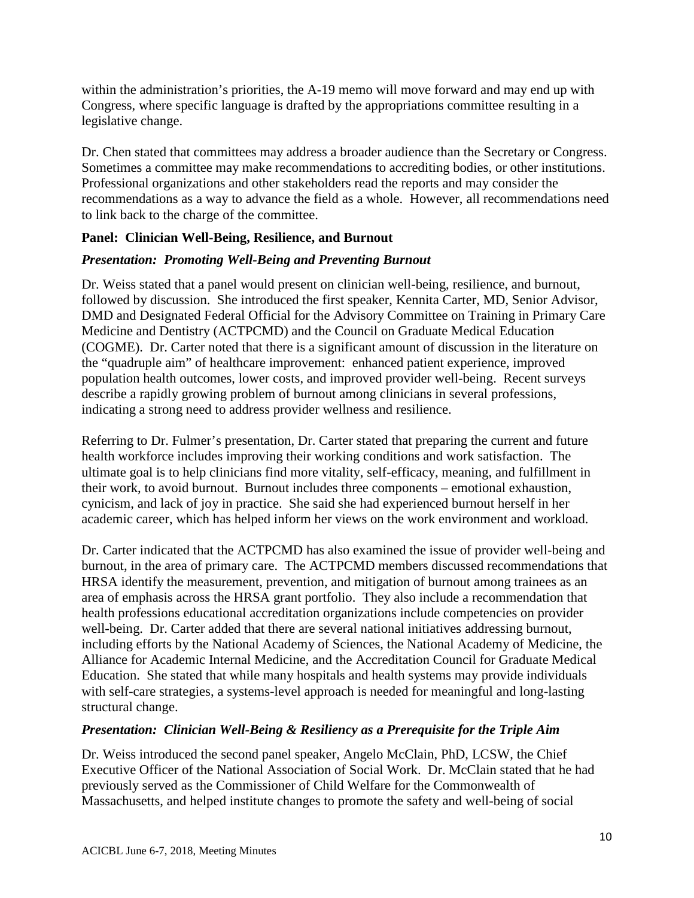within the administration's priorities, the A-19 memo will move forward and may end up with Congress, where specific language is drafted by the appropriations committee resulting in a legislative change.

Dr. Chen stated that committees may address a broader audience than the Secretary or Congress. Professional organizations and other stakeholders read the reports and may consider the Sometimes a committee may make recommendations to accrediting bodies, or other institutions. recommendations as a way to advance the field as a whole. However, all recommendations need to link back to the charge of the committee.

## **Panel: Clinician Well-Being, Resilience, and Burnout**

## *Presentation: Promoting Well-Being and Preventing Burnout*

 the "quadruple aim" of healthcare improvement: enhanced patient experience, improved describe a rapidly growing problem of burnout among clinicians in several professions, Dr. Weiss stated that a panel would present on clinician well-being, resilience, and burnout, followed by discussion. She introduced the first speaker, Kennita Carter, MD, Senior Advisor, DMD and Designated Federal Official for the Advisory Committee on Training in Primary Care Medicine and Dentistry (ACTPCMD) and the Council on Graduate Medical Education (COGME). Dr. Carter noted that there is a significant amount of discussion in the literature on population health outcomes, lower costs, and improved provider well-being. Recent surveys indicating a strong need to address provider wellness and resilience.

 Referring to Dr. Fulmer's presentation, Dr. Carter stated that preparing the current and future their work, to avoid burnout. Burnout includes three components – emotional exhaustion, health workforce includes improving their working conditions and work satisfaction. The ultimate goal is to help clinicians find more vitality, self-efficacy, meaning, and fulfillment in cynicism, and lack of joy in practice. She said she had experienced burnout herself in her academic career, which has helped inform her views on the work environment and workload.

 Dr. Carter indicated that the ACTPCMD has also examined the issue of provider well-being and burnout, in the area of primary care. The ACTPCMD members discussed recommendations that well-being. Dr. Carter added that there are several national initiatives addressing burnout, HRSA identify the measurement, prevention, and mitigation of burnout among trainees as an area of emphasis across the HRSA grant portfolio. They also include a recommendation that health professions educational accreditation organizations include competencies on provider including efforts by the National Academy of Sciences, the National Academy of Medicine, the Alliance for Academic Internal Medicine, and the Accreditation Council for Graduate Medical Education. She stated that while many hospitals and health systems may provide individuals with self-care strategies, a systems-level approach is needed for meaningful and long-lasting structural change.

## *Presentation: Clinician Well-Being & Resiliency as a Prerequisite for the Triple Aim*

 previously served as the Commissioner of Child Welfare for the Commonwealth of Dr. Weiss introduced the second panel speaker, Angelo McClain, PhD, LCSW, the Chief Executive Officer of the National Association of Social Work. Dr. McClain stated that he had Massachusetts, and helped institute changes to promote the safety and well-being of social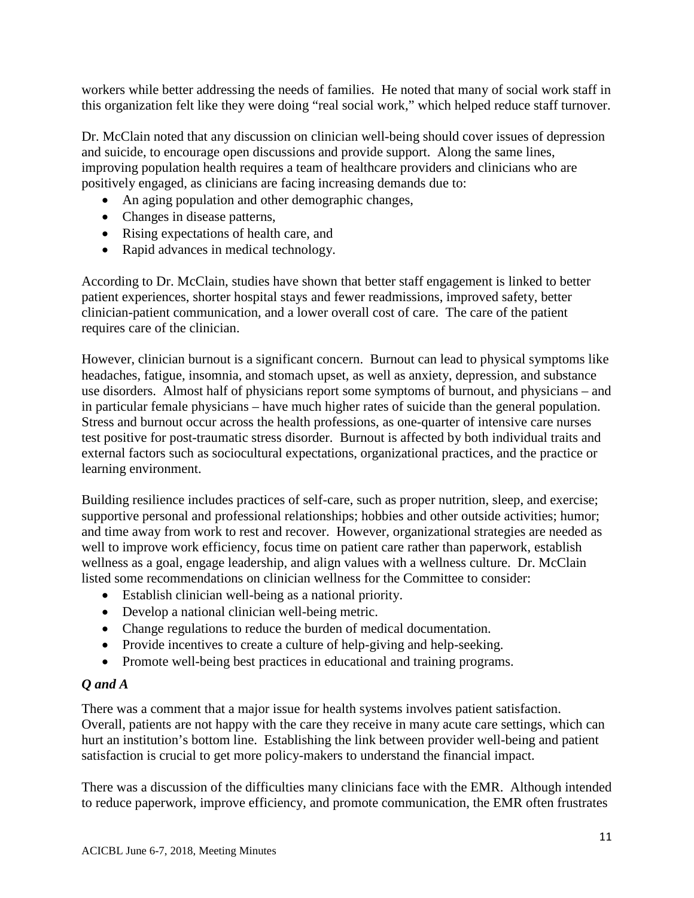workers while better addressing the needs of families. He noted that many of social work staff in this organization felt like they were doing "real social work," which helped reduce staff turnover.

 and suicide, to encourage open discussions and provide support. Along the same lines, Dr. McClain noted that any discussion on clinician well-being should cover issues of depression improving population health requires a team of healthcare providers and clinicians who are positively engaged, as clinicians are facing increasing demands due to:

- An aging population and other demographic changes,
- Changes in disease patterns,
- Rising expectations of health care, and
- Rapid advances in medical technology.

 clinician-patient communication, and a lower overall cost of care. The care of the patient requires care of the clinician. According to Dr. McClain, studies have shown that better staff engagement is linked to better patient experiences, shorter hospital stays and fewer readmissions, improved safety, better

 use disorders. Almost half of physicians report some symptoms of burnout, and physicians – and in particular female physicians – have much higher rates of suicide than the general population. test positive for post-traumatic stress disorder. Burnout is affected by both individual traits and However, clinician burnout is a significant concern. Burnout can lead to physical symptoms like headaches, fatigue, insomnia, and stomach upset, as well as anxiety, depression, and substance Stress and burnout occur across the health professions, as one-quarter of intensive care nurses external factors such as sociocultural expectations, organizational practices, and the practice or learning environment.

 and time away from work to rest and recover. However, organizational strategies are needed as Building resilience includes practices of self-care, such as proper nutrition, sleep, and exercise; supportive personal and professional relationships; hobbies and other outside activities; humor; well to improve work efficiency, focus time on patient care rather than paperwork, establish wellness as a goal, engage leadership, and align values with a wellness culture. Dr. McClain listed some recommendations on clinician wellness for the Committee to consider:

- Establish clinician well-being as a national priority.
- Develop a national clinician well-being metric.
- Change regulations to reduce the burden of medical documentation.
- Provide incentives to create a culture of help-giving and help-seeking.
- Promote well-being best practices in educational and training programs.

## *Q and A*

 Overall, patients are not happy with the care they receive in many acute care settings, which can hurt an institution's bottom line. Establishing the link between provider well-being and patient There was a comment that a major issue for health systems involves patient satisfaction. satisfaction is crucial to get more policy-makers to understand the financial impact.

There was a discussion of the difficulties many clinicians face with the EMR. Although intended to reduce paperwork, improve efficiency, and promote communication, the EMR often frustrates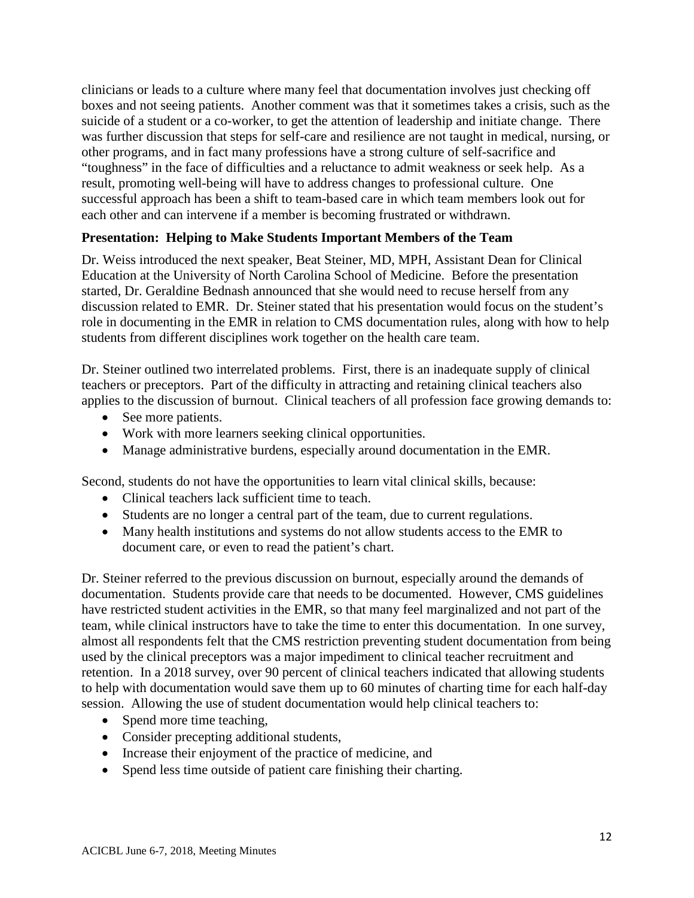boxes and not seeing patients. Another comment was that it sometimes takes a crisis, such as the "toughness" in the face of difficulties and a reluctance to admit weakness or seek help. As a each other and can intervene if a member is becoming frustrated or withdrawn. clinicians or leads to a culture where many feel that documentation involves just checking off suicide of a student or a co-worker, to get the attention of leadership and initiate change. There was further discussion that steps for self-care and resilience are not taught in medical, nursing, or other programs, and in fact many professions have a strong culture of self-sacrifice and result, promoting well-being will have to address changes to professional culture. One successful approach has been a shift to team-based care in which team members look out for

## **Presentation: Helping to Make Students Important Members of the Team**

 discussion related to EMR. Dr. Steiner stated that his presentation would focus on the student's students from different disciplines work together on the health care team. Dr. Weiss introduced the next speaker, Beat Steiner, MD, MPH, Assistant Dean for Clinical Education at the University of North Carolina School of Medicine. Before the presentation started, Dr. Geraldine Bednash announced that she would need to recuse herself from any role in documenting in the EMR in relation to CMS documentation rules, along with how to help

 teachers or preceptors. Part of the difficulty in attracting and retaining clinical teachers also Dr. Steiner outlined two interrelated problems. First, there is an inadequate supply of clinical applies to the discussion of burnout. Clinical teachers of all profession face growing demands to:

- See more patients.
- Work with more learners seeking clinical opportunities.
- Manage administrative burdens, especially around documentation in the EMR.

Second, students do not have the opportunities to learn vital clinical skills, because:

- Clinical teachers lack sufficient time to teach.
- Students are no longer a central part of the team, due to current regulations.
- Many health institutions and systems do not allow students access to the EMR to document care, or even to read the patient's chart.

 team, while clinical instructors have to take the time to enter this documentation. In one survey, almost all respondents felt that the CMS restriction preventing student documentation from being Dr. Steiner referred to the previous discussion on burnout, especially around the demands of documentation. Students provide care that needs to be documented. However, CMS guidelines have restricted student activities in the EMR, so that many feel marginalized and not part of the used by the clinical preceptors was a major impediment to clinical teacher recruitment and retention. In a 2018 survey, over 90 percent of clinical teachers indicated that allowing students to help with documentation would save them up to 60 minutes of charting time for each half-day session. Allowing the use of student documentation would help clinical teachers to:

- Spend more time teaching,
- Consider precepting additional students,
- Increase their enjoyment of the practice of medicine, and
- Spend less time outside of patient care finishing their charting.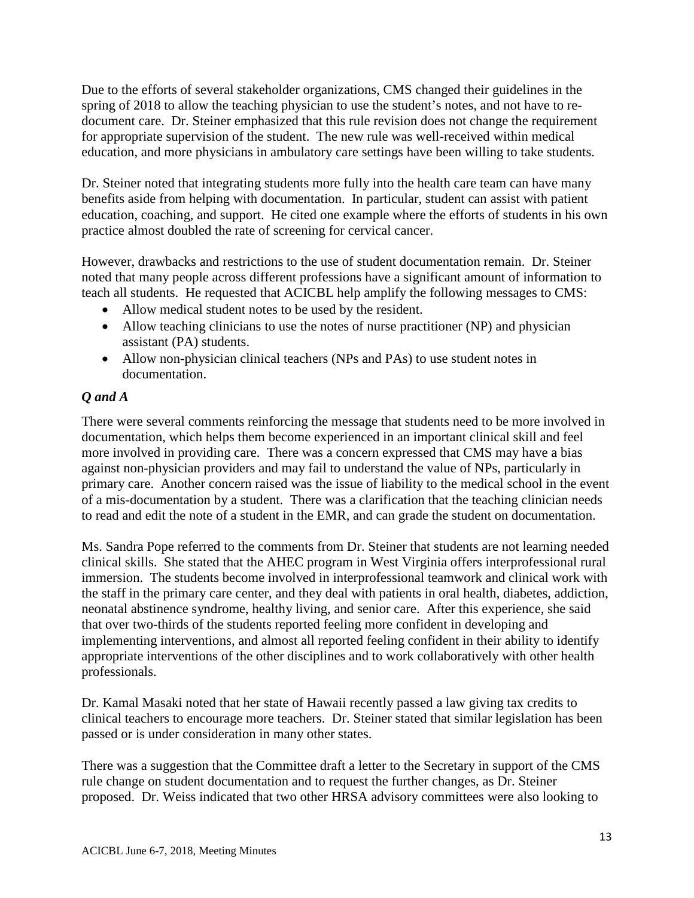Due to the efforts of several stakeholder organizations, CMS changed their guidelines in the document care. Dr. Steiner emphasized that this rule revision does not change the requirement education, and more physicians in ambulatory care settings have been willing to take students. spring of 2018 to allow the teaching physician to use the student's notes, and not have to refor appropriate supervision of the student. The new rule was well-received within medical

Dr. Steiner noted that integrating students more fully into the health care team can have many benefits aside from helping with documentation. In particular, student can assist with patient education, coaching, and support. He cited one example where the efforts of students in his own practice almost doubled the rate of screening for cervical cancer.

However, drawbacks and restrictions to the use of student documentation remain. Dr. Steiner However, drawbacks and restrictions to the use of student documentation remain. Dr. Steiner noted that many people across different professions have a significant amount of information to teach all students. He requested that ACICBL help amplify the following messages to CMS:

- Allow medical student notes to be used by the resident.
- Allow teaching clinicians to use the notes of nurse practitioner (NP) and physician assistant (PA) students.
- Allow non-physician clinical teachers (NPs and PAs) to use student notes in documentation.

## *Q and A*

 primary care. Another concern raised was the issue of liability to the medical school in the event of a mis-documentation by a student. There was a clarification that the teaching clinician needs to read and edit the note of a student in the EMR, and can grade the student on documentation. There were several comments reinforcing the message that students need to be more involved in documentation, which helps them become experienced in an important clinical skill and feel more involved in providing care. There was a concern expressed that CMS may have a bias against non-physician providers and may fail to understand the value of NPs, particularly in

Ms. Sandra Pope referred to the comments from Dr. Steiner that students are not learning needed clinical skills. She stated that the AHEC program in West Virginia offers interprofessional rural immersion. The students become involved in interprofessional teamwork and clinical work with the staff in the primary care center, and they deal with patients in oral health, diabetes, addiction, neonatal abstinence syndrome, healthy living, and senior care. After this experience, she said that over two-thirds of the students reported feeling more confident in developing and implementing interventions, and almost all reported feeling confident in their ability to identify appropriate interventions of the other disciplines and to work collaboratively with other health professionals.

 Dr. Kamal Masaki noted that her state of Hawaii recently passed a law giving tax credits to clinical teachers to encourage more teachers. Dr. Steiner stated that similar legislation has been passed or is under consideration in many other states.

 proposed. Dr. Weiss indicated that two other HRSA advisory committees were also looking to There was a suggestion that the Committee draft a letter to the Secretary in support of the CMS rule change on student documentation and to request the further changes, as Dr. Steiner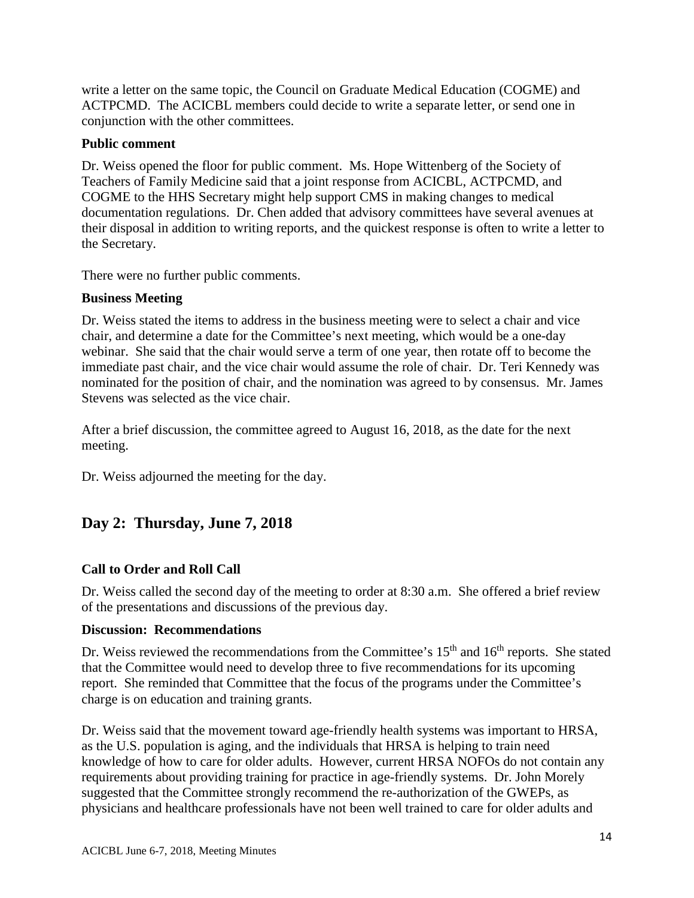conjunction with the other committees. write a letter on the same topic, the Council on Graduate Medical Education (COGME) and ACTPCMD. The ACICBL members could decide to write a separate letter, or send one in

#### **Public comment**

 Dr. Weiss opened the floor for public comment. Ms. Hope Wittenberg of the Society of Teachers of Family Medicine said that a joint response from ACICBL, ACTPCMD, and COGME to the HHS Secretary might help support CMS in making changes to medical documentation regulations. Dr. Chen added that advisory committees have several avenues at their disposal in addition to writing reports, and the quickest response is often to write a letter to the Secretary.

There were no further public comments.

#### **Business Meeting**

 webinar. She said that the chair would serve a term of one year, then rotate off to become the Dr. Weiss stated the items to address in the business meeting were to select a chair and vice chair, and determine a date for the Committee's next meeting, which would be a one-day immediate past chair, and the vice chair would assume the role of chair. Dr. Teri Kennedy was nominated for the position of chair, and the nomination was agreed to by consensus. Mr. James Stevens was selected as the vice chair.

After a brief discussion, the committee agreed to August 16, 2018, as the date for the next meeting.

Dr. Weiss adjourned the meeting for the day.

# **Day 2: Thursday, June 7, 2018**

## **Call to Order and Roll Call**

Dr. Weiss called the second day of the meeting to order at 8:30 a.m. She offered a brief review of the presentations and discussions of the previous day.

#### **Discussion: Recommendations**

Dr. Weiss reviewed the recommendations from the Committee's 15<sup>th</sup> and 16<sup>th</sup> reports. She stated charge is on education and training grants. that the Committee would need to develop three to five recommendations for its upcoming report. She reminded that Committee that the focus of the programs under the Committee's

 knowledge of how to care for older adults. However, current HRSA NOFOs do not contain any requirements about providing training for practice in age-friendly systems. Dr. John Morely Dr. Weiss said that the movement toward age-friendly health systems was important to HRSA, as the U.S. population is aging, and the individuals that HRSA is helping to train need suggested that the Committee strongly recommend the re-authorization of the GWEPs, as physicians and healthcare professionals have not been well trained to care for older adults and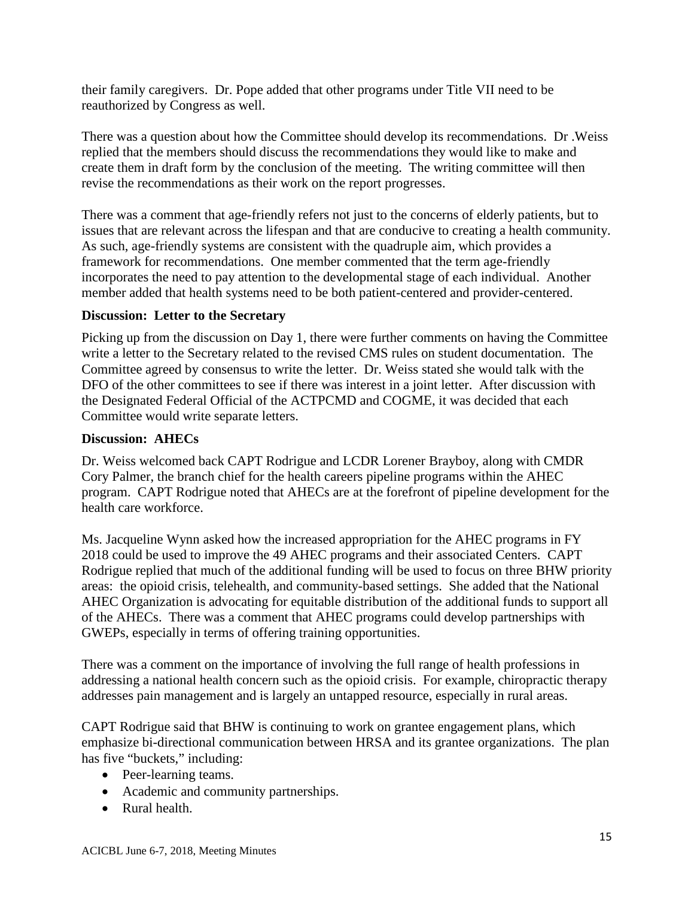their family caregivers. Dr. Pope added that other programs under Title VII need to be reauthorized by Congress as well.

 create them in draft form by the conclusion of the meeting. The writing committee will then There was a question about how the Committee should develop its recommendations. Dr .Weiss replied that the members should discuss the recommendations they would like to make and revise the recommendations as their work on the report progresses.

There was a comment that age-friendly refers not just to the concerns of elderly patients, but to issues that are relevant across the lifespan and that are conducive to creating a health community. As such, age-friendly systems are consistent with the quadruple aim, which provides a framework for recommendations. One member commented that the term age-friendly incorporates the need to pay attention to the developmental stage of each individual. Another member added that health systems need to be both patient-centered and provider-centered.

## **Discussion: Letter to the Secretary**

 DFO of the other committees to see if there was interest in a joint letter. After discussion with Committee would write separate letters. Picking up from the discussion on Day 1, there were further comments on having the Committee write a letter to the Secretary related to the revised CMS rules on student documentation. The Committee agreed by consensus to write the letter. Dr. Weiss stated she would talk with the the Designated Federal Official of the ACTPCMD and COGME, it was decided that each

#### **Discussion: AHECs**

 Dr. Weiss welcomed back CAPT Rodrigue and LCDR Lorener Brayboy, along with CMDR Cory Palmer, the branch chief for the health careers pipeline programs within the AHEC program. CAPT Rodrigue noted that AHECs are at the forefront of pipeline development for the health care workforce.

 Rodrigue replied that much of the additional funding will be used to focus on three BHW priority Ms. Jacqueline Wynn asked how the increased appropriation for the AHEC programs in FY 2018 could be used to improve the 49 AHEC programs and their associated Centers. CAPT areas: the opioid crisis, telehealth, and community-based settings. She added that the National AHEC Organization is advocating for equitable distribution of the additional funds to support all of the AHECs. There was a comment that AHEC programs could develop partnerships with GWEPs, especially in terms of offering training opportunities.

There was a comment on the importance of involving the full range of health professions in addressing a national health concern such as the opioid crisis. For example, chiropractic therapy addresses pain management and is largely an untapped resource, especially in rural areas.

CAPT Rodrigue said that BHW is continuing to work on grantee engagement plans, which emphasize bi-directional communication between HRSA and its grantee organizations. The plan has five "buckets," including:

- Peer-learning teams.
- Academic and community partnerships.
- Rural health.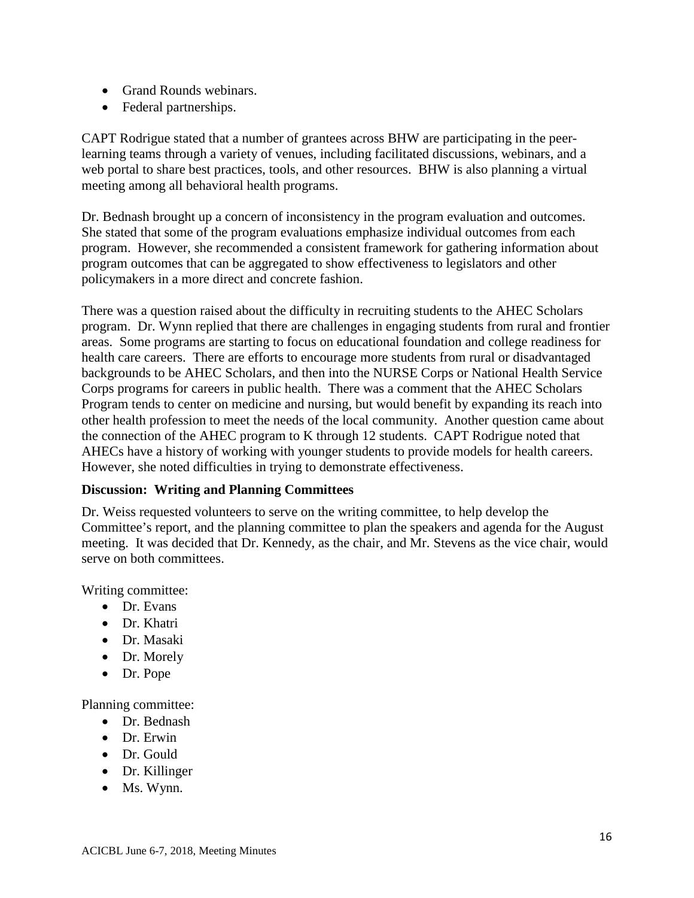- Grand Rounds webinars.
- Federal partnerships.

 meeting among all behavioral health programs. CAPT Rodrigue stated that a number of grantees across BHW are participating in the peerlearning teams through a variety of venues, including facilitated discussions, webinars, and a web portal to share best practices, tools, and other resources. BHW is also planning a virtual

Dr. Bednash brought up a concern of inconsistency in the program evaluation and outcomes. She stated that some of the program evaluations emphasize individual outcomes from each program. However, she recommended a consistent framework for gathering information about program outcomes that can be aggregated to show effectiveness to legislators and other policymakers in a more direct and concrete fashion.

 program. Dr. Wynn replied that there are challenges in engaging students from rural and frontier health care careers. There are efforts to encourage more students from rural or disadvantaged backgrounds to be AHEC Scholars, and then into the NURSE Corps or National Health Service There was a question raised about the difficulty in recruiting students to the AHEC Scholars areas. Some programs are starting to focus on educational foundation and college readiness for Corps programs for careers in public health. There was a comment that the AHEC Scholars Program tends to center on medicine and nursing, but would benefit by expanding its reach into other health profession to meet the needs of the local community. Another question came about the connection of the AHEC program to K through 12 students. CAPT Rodrigue noted that AHECs have a history of working with younger students to provide models for health careers. However, she noted difficulties in trying to demonstrate effectiveness.

## **Discussion: Writing and Planning Committees**

 meeting. It was decided that Dr. Kennedy, as the chair, and Mr. Stevens as the vice chair, would Dr. Weiss requested volunteers to serve on the writing committee, to help develop the Committee's report, and the planning committee to plan the speakers and agenda for the August serve on both committees.

Writing committee:

- Dr. Evans
- Dr. Khatri
- Dr. Masaki
- Dr. Morely
- Dr. Pope

Planning committee:

- Dr. Bednash
- Dr. Erwin
- Dr. Gould
- Dr. Killinger
- Ms. Wynn.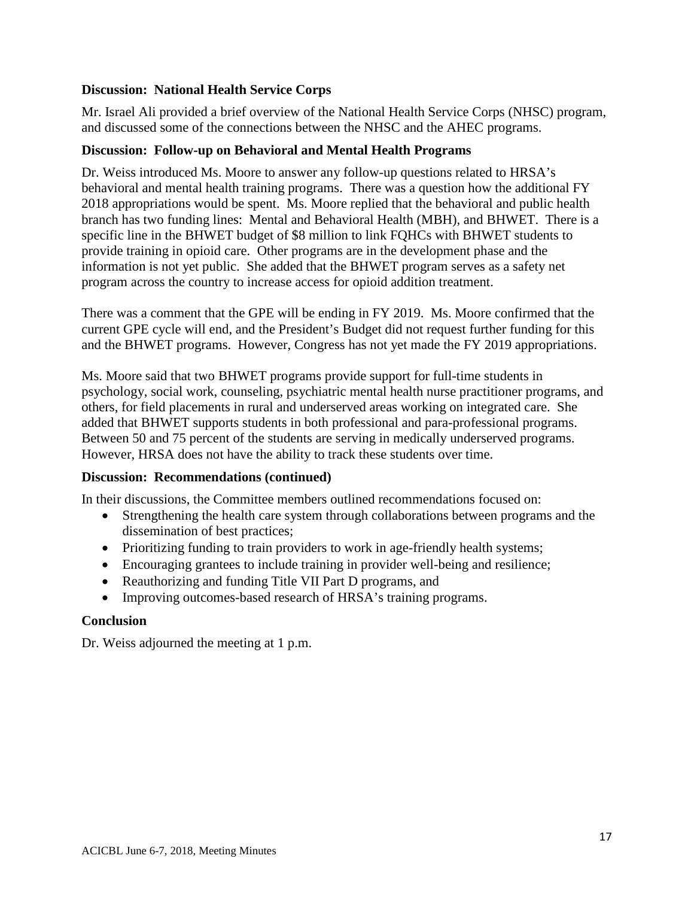#### **Discussion: National Health Service Corps**

 and discussed some of the connections between the NHSC and the AHEC programs. Mr. Israel Ali provided a brief overview of the National Health Service Corps (NHSC) program,

#### **Discussion: Follow-up on Behavioral and Mental Health Programs**

 information is not yet public. She added that the BHWET program serves as a safety net Dr. Weiss introduced Ms. Moore to answer any follow-up questions related to HRSA's behavioral and mental health training programs. There was a question how the additional FY 2018 appropriations would be spent. Ms. Moore replied that the behavioral and public health branch has two funding lines: Mental and Behavioral Health (MBH), and BHWET. There is a specific line in the BHWET budget of \$8 million to link FQHCs with BHWET students to provide training in opioid care. Other programs are in the development phase and the program across the country to increase access for opioid addition treatment.

 and the BHWET programs. However, Congress has not yet made the FY 2019 appropriations. There was a comment that the GPE will be ending in FY 2019. Ms. Moore confirmed that the current GPE cycle will end, and the President's Budget did not request further funding for this

 Ms. Moore said that two BHWET programs provide support for full-time students in psychology, social work, counseling, psychiatric mental health nurse practitioner programs, and others, for field placements in rural and underserved areas working on integrated care. She added that BHWET supports students in both professional and para-professional programs. Between 50 and 75 percent of the students are serving in medically underserved programs. However, HRSA does not have the ability to track these students over time.

#### **Discussion: Recommendations (continued)**

In their discussions, the Committee members outlined recommendations focused on:

- Strengthening the health care system through collaborations between programs and the dissemination of best practices;
- Prioritizing funding to train providers to work in age-friendly health systems;
- Encouraging grantees to include training in provider well-being and resilience;
- Reauthorizing and funding Title VII Part D programs, and
- Improving outcomes-based research of HRSA's training programs.

#### **Conclusion**

Dr. Weiss adjourned the meeting at 1 p.m.